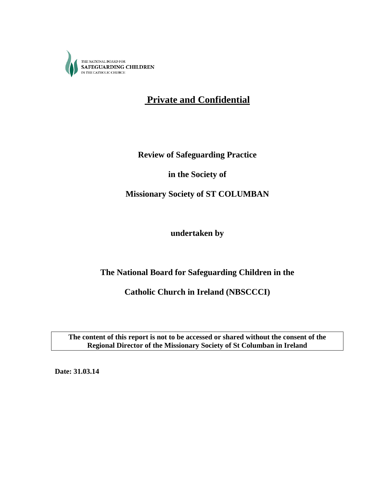

# **Private and Confidential**

**Review of Safeguarding Practice**

**in the Society of** 

**Missionary Society of ST COLUMBAN**

**undertaken by**

## **The National Board for Safeguarding Children in the**

**Catholic Church in Ireland (NBSCCCI)**

**The content of this report is not to be accessed or shared without the consent of the Regional Director of the Missionary Society of St Columban in Ireland**

**Date: 31.03.14**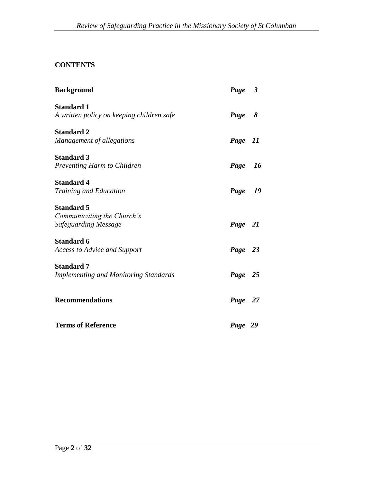## **CONTENTS**

| <b>Background</b>                            | Page 3  |
|----------------------------------------------|---------|
| <b>Standard 1</b>                            |         |
| A written policy on keeping children safe    | Page 8  |
| <b>Standard 2</b>                            |         |
| Management of allegations                    | Page 11 |
| <b>Standard 3</b>                            |         |
| Preventing Harm to Children                  | Page 16 |
| <b>Standard 4</b>                            |         |
| <b>Training and Education</b>                | Page 19 |
| <b>Standard 5</b>                            |         |
| Communicating the Church's                   |         |
| Safeguarding Message                         | Page 21 |
| <b>Standard 6</b>                            |         |
| <b>Access to Advice and Support</b>          | Page 23 |
| <b>Standard 7</b>                            |         |
| <b>Implementing and Monitoring Standards</b> | Page 25 |
| <b>Recommendations</b>                       | Page 27 |
| <b>Terms of Reference</b>                    | Page 29 |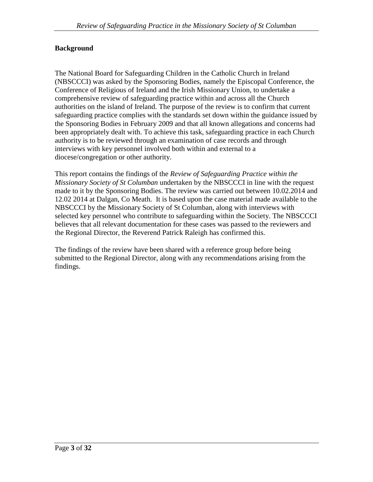#### **Background**

The National Board for Safeguarding Children in the Catholic Church in Ireland (NBSCCCI) was asked by the Sponsoring Bodies, namely the Episcopal Conference, the Conference of Religious of Ireland and the Irish Missionary Union, to undertake a comprehensive review of safeguarding practice within and across all the Church authorities on the island of Ireland. The purpose of the review is to confirm that current safeguarding practice complies with the standards set down within the guidance issued by the Sponsoring Bodies in February 2009 and that all known allegations and concerns had been appropriately dealt with. To achieve this task, safeguarding practice in each Church authority is to be reviewed through an examination of case records and through interviews with key personnel involved both within and external to a diocese/congregation or other authority.

This report contains the findings of the *Review of Safeguarding Practice within the Missionary Society of St Columban* undertaken by the NBSCCCI in line with the request made to it by the Sponsoring Bodies. The review was carried out between 10.02.2014 and 12.02 2014 at Dalgan, Co Meath. It is based upon the case material made available to the NBSCCCI by the Missionary Society of St Columban, along with interviews with selected key personnel who contribute to safeguarding within the Society. The NBSCCCI believes that all relevant documentation for these cases was passed to the reviewers and the Regional Director, the Reverend Patrick Raleigh has confirmed this.

The findings of the review have been shared with a reference group before being submitted to the Regional Director, along with any recommendations arising from the findings.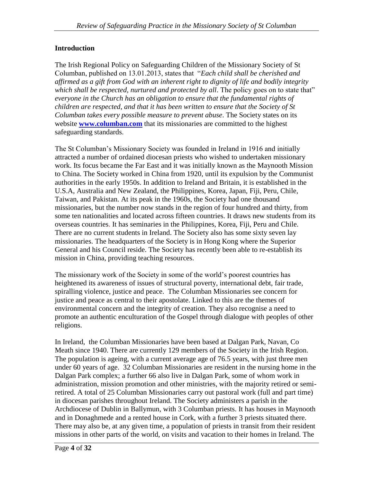## **Introduction**

The Irish Regional Policy on Safeguarding Children of the Missionary Society of St Columban, published on 13.01.2013, states that "*Each child shall be cherished and affirmed as a gift from God with an inherent right to dignity of life and bodily integrity*  which shall be respected, nurtured and protected by all. The policy goes on to state that" *everyone in the Church has an obligation to ensure that the fundamental rights of children are respected, and that it has been written to ensure that the Society of St Columban takes every possible measure to prevent abuse*. The Society states on its website **[www.columban.com](http://www.columban.com/)** that its missionaries are committed to the highest safeguarding standards.

The St Columban's Missionary Society was founded in Ireland in 1916 and initially attracted a number of ordained diocesan priests who wished to undertaken missionary work. Its focus became the Far East and it was initially known as the Maynooth Mission to China. The Society worked in China from 1920, until its expulsion by the Communist authorities in the early 1950s. In addition to Ireland and Britain, it is established in the U.S.A, Australia and New Zealand, the Philippines, Korea, Japan, Fiji, Peru, Chile, Taiwan, and Pakistan. At its peak in the 1960s, the Society had one thousand missionaries, but the number now stands in the region of four hundred and thirty, from some ten nationalities and located across fifteen countries. It draws new students from its overseas countries. It has seminaries in the Philippines, Korea, Fiji, Peru and Chile. There are no current students in Ireland. The Society also has some sixty seven lay missionaries. The headquarters of the Society is in Hong Kong where the Superior General and his Council reside. The Society has recently been able to re-establish its mission in China, providing teaching resources.

The missionary work of the Society in some of the world's poorest countries has heightened its awareness of issues of structural poverty, international debt, fair trade, spiralling violence, justice and peace. The Columban Missionaries see concern for justice and peace as central to their apostolate. Linked to this are the themes of environmental concern and the integrity of creation. They also recognise a need to promote an authentic enculturation of the Gospel through dialogue with peoples of other religions.

In Ireland, the Columban Missionaries have been based at Dalgan Park, Navan, Co Meath since 1940. There are currently 129 members of the Society in the Irish Region. The population is ageing, with a current average age of 76.5 years, with just three men under 60 years of age. 32 Columban Missionaries are resident in the nursing home in the Dalgan Park complex; a further 66 also live in Dalgan Park, some of whom work in administration, mission promotion and other ministries, with the majority retired or semiretired. A total of 25 Columban Missionaries carry out pastoral work (full and part time) in diocesan parishes throughout Ireland. The Society administers a parish in the Archdiocese of Dublin in Ballymun, with 3 Columban priests. It has houses in Maynooth and in Donaghmede and a rented house in Cork, with a further 3 priests situated there. There may also be, at any given time, a population of priests in transit from their resident missions in other parts of the world, on visits and vacation to their homes in Ireland. The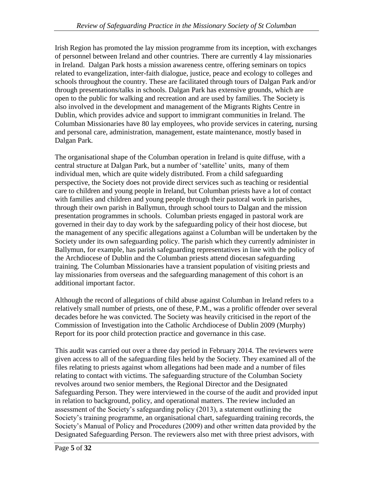Irish Region has promoted the lay mission programme from its inception, with exchanges of personnel between Ireland and other countries. There are currently 4 lay missionaries in Ireland. Dalgan Park hosts a mission awareness centre, offering seminars on topics related to evangelization, inter-faith dialogue, justice, peace and ecology to colleges and schools throughout the country. These are facilitated through tours of Dalgan Park and/or through presentations/talks in schools. Dalgan Park has extensive grounds, which are open to the public for walking and recreation and are used by families. The Society is also involved in the development and management of the Migrants Rights Centre in Dublin, which provides advice and support to immigrant communities in Ireland. The Columban Missionaries have 80 lay employees, who provide services in catering, nursing and personal care, administration, management, estate maintenance, mostly based in Dalgan Park.

The organisational shape of the Columban operation in Ireland is quite diffuse, with a central structure at Dalgan Park, but a number of 'satellite' units, many of them individual men, which are quite widely distributed. From a child safeguarding perspective, the Society does not provide direct services such as teaching or residential care to children and young people in Ireland, but Columban priests have a lot of contact with families and children and young people through their pastoral work in parishes, through their own parish in Ballymun, through school tours to Dalgan and the mission presentation programmes in schools. Columban priests engaged in pastoral work are governed in their day to day work by the safeguarding policy of their host diocese, but the management of any specific allegations against a Columban will be undertaken by the Society under its own safeguarding policy. The parish which they currently administer in Ballymun, for example, has parish safeguarding representatives in line with the policy of the Archdiocese of Dublin and the Columban priests attend diocesan safeguarding training. The Columban Missionaries have a transient population of visiting priests and lay missionaries from overseas and the safeguarding management of this cohort is an additional important factor.

Although the record of allegations of child abuse against Columban in Ireland refers to a relatively small number of priests, one of these, P.M., was a prolific offender over several decades before he was convicted. The Society was heavily criticised in the report of the Commission of Investigation into the Catholic Archdiocese of Dublin 2009 (Murphy) Report for its poor child protection practice and governance in this case.

This audit was carried out over a three day period in February 2014. The reviewers were given access to all of the safeguarding files held by the Society. They examined all of the files relating to priests against whom allegations had been made and a number of files relating to contact with victims. The safeguarding structure of the Columban Society revolves around two senior members, the Regional Director and the Designated Safeguarding Person. They were interviewed in the course of the audit and provided input in relation to background, policy, and operational matters. The review included an assessment of the Society's safeguarding policy (2013), a statement outlining the Society's training programme, an organisational chart, safeguarding training records, the Society's Manual of Policy and Procedures (2009) and other written data provided by the Designated Safeguarding Person. The reviewers also met with three priest advisors, with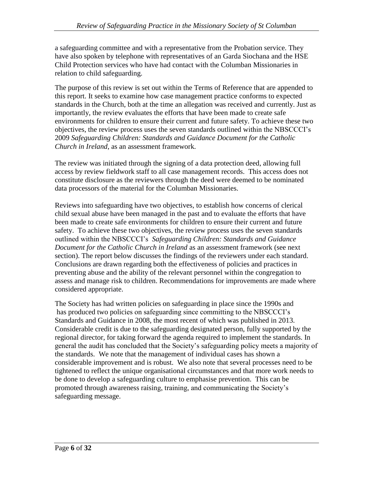a safeguarding committee and with a representative from the Probation service. They have also spoken by telephone with representatives of an Garda Siochana and the HSE Child Protection services who have had contact with the Columban Missionaries in relation to child safeguarding.

The purpose of this review is set out within the Terms of Reference that are appended to this report. It seeks to examine how case management practice conforms to expected standards in the Church, both at the time an allegation was received and currently. Just as importantly, the review evaluates the efforts that have been made to create safe environments for children to ensure their current and future safety. To achieve these two objectives, the review process uses the seven standards outlined within the NBSCCCI's 2009 *Safeguarding Children: Standards and Guidance Document for the Catholic Church in Ireland*, as an assessment framework.

The review was initiated through the signing of a data protection deed, allowing full access by review fieldwork staff to all case management records. This access does not constitute disclosure as the reviewers through the deed were deemed to be nominated data processors of the material for the Columban Missionaries.

Reviews into safeguarding have two objectives, to establish how concerns of clerical child sexual abuse have been managed in the past and to evaluate the efforts that have been made to create safe environments for children to ensure their current and future safety. To achieve these two objectives, the review process uses the seven standards outlined within the NBSCCCI's *Safeguarding Children: Standards and Guidance Document for the Catholic Church in Ireland* as an assessment framework (see next section). The report below discusses the findings of the reviewers under each standard. Conclusions are drawn regarding both the effectiveness of policies and practices in preventing abuse and the ability of the relevant personnel within the congregation to assess and manage risk to children. Recommendations for improvements are made where considered appropriate.

The Society has had written policies on safeguarding in place since the 1990s and has produced two policies on safeguarding since committing to the NBSCCCI's Standards and Guidance in 2008, the most recent of which was published in 2013. Considerable credit is due to the safeguarding designated person, fully supported by the regional director, for taking forward the agenda required to implement the standards. In general the audit has concluded that the Society's safeguarding policy meets a majority of the standards. We note that the management of individual cases has shown a considerable improvement and is robust. We also note that several processes need to be tightened to reflect the unique organisational circumstances and that more work needs to be done to develop a safeguarding culture to emphasise prevention. This can be promoted through awareness raising, training, and communicating the Society's safeguarding message.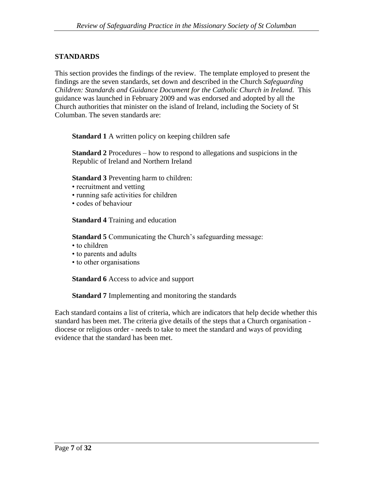#### **STANDARDS**

This section provides the findings of the review. The template employed to present the findings are the seven standards, set down and described in the Church *Safeguarding Children: Standards and Guidance Document for the Catholic Church in Ireland.* This guidance was launched in February 2009 and was endorsed and adopted by all the Church authorities that minister on the island of Ireland, including the Society of St Columban. The seven standards are:

**Standard 1** A written policy on keeping children safe

**Standard 2** Procedures – how to respond to allegations and suspicions in the Republic of Ireland and Northern Ireland

**Standard 3** Preventing harm to children:

- recruitment and vetting
- running safe activities for children
- codes of behaviour

**Standard 4** Training and education

**Standard 5** Communicating the Church's safeguarding message:

- to children
- to parents and adults
- to other organisations

**Standard 6** Access to advice and support

**Standard 7** Implementing and monitoring the standards

Each standard contains a list of criteria, which are indicators that help decide whether this standard has been met. The criteria give details of the steps that a Church organisation diocese or religious order - needs to take to meet the standard and ways of providing evidence that the standard has been met.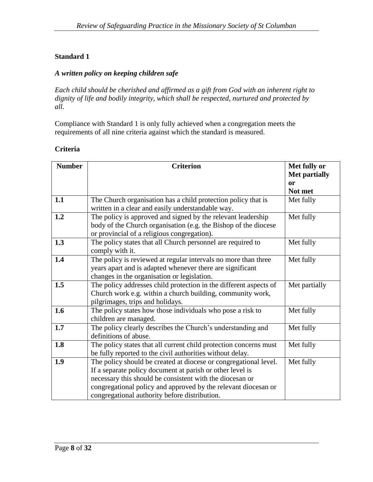#### *A written policy on keeping children safe*

*Each child should be cherished and affirmed as a gift from God with an inherent right to dignity of life and bodily integrity, which shall be respected, nurtured and protected by all.*

Compliance with Standard 1 is only fully achieved when a congregation meets the requirements of all nine criteria against which the standard is measured.

#### **Criteria**

| <b>Number</b> | <b>Criterion</b>                                                                                                                                                                                                                                                                                             | Met fully or<br><b>Met partially</b> |
|---------------|--------------------------------------------------------------------------------------------------------------------------------------------------------------------------------------------------------------------------------------------------------------------------------------------------------------|--------------------------------------|
|               |                                                                                                                                                                                                                                                                                                              | <b>or</b><br>Not met                 |
| 1.1           | The Church organisation has a child protection policy that is<br>written in a clear and easily understandable way.                                                                                                                                                                                           | Met fully                            |
| 1.2           | The policy is approved and signed by the relevant leadership<br>body of the Church organisation (e.g. the Bishop of the diocese<br>or provincial of a religious congregation).                                                                                                                               | Met fully                            |
| 1.3           | The policy states that all Church personnel are required to<br>comply with it.                                                                                                                                                                                                                               | Met fully                            |
| 1.4           | The policy is reviewed at regular intervals no more than three<br>years apart and is adapted whenever there are significant<br>changes in the organisation or legislation.                                                                                                                                   | Met fully                            |
| 1.5           | The policy addresses child protection in the different aspects of<br>Church work e.g. within a church building, community work,<br>pilgrimages, trips and holidays.                                                                                                                                          | Met partially                        |
| 1.6           | The policy states how those individuals who pose a risk to<br>children are managed.                                                                                                                                                                                                                          | Met fully                            |
| 1.7           | The policy clearly describes the Church's understanding and<br>definitions of abuse.                                                                                                                                                                                                                         | Met fully                            |
| 1.8           | The policy states that all current child protection concerns must<br>be fully reported to the civil authorities without delay.                                                                                                                                                                               | Met fully                            |
| 1.9           | The policy should be created at diocese or congregational level.<br>If a separate policy document at parish or other level is<br>necessary this should be consistent with the diocesan or<br>congregational policy and approved by the relevant diocesan or<br>congregational authority before distribution. | Met fully                            |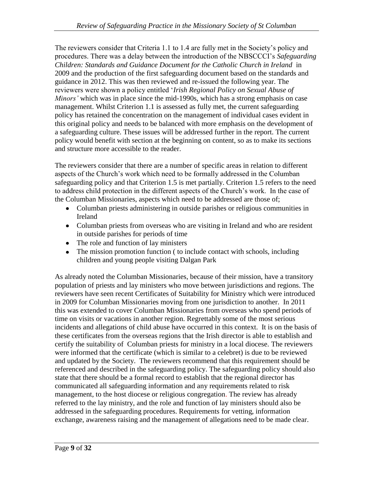The reviewers consider that Criteria 1.1 to 1.4 are fully met in the Society's policy and procedures. There was a delay between the introduction of the NBSCCCI's *Safeguarding Children: Standards and Guidance Document for the Catholic Church in Ireland* in 2009 and the production of the first safeguarding document based on the standards and guidance in 2012. This was then reviewed and re-issued the following year. The reviewers were shown a policy entitled '*Irish Regional Policy on Sexual Abuse of Minors'* which was in place since the mid-1990s, which has a strong emphasis on case management. Whilst Criterion 1.1 is assessed as fully met, the current safeguarding policy has retained the concentration on the management of individual cases evident in this original policy and needs to be balanced with more emphasis on the development of a safeguarding culture. These issues will be addressed further in the report. The current policy would benefit with section at the beginning on content, so as to make its sections and structure more accessible to the reader.

The reviewers consider that there are a number of specific areas in relation to different aspects of the Church's work which need to be formally addressed in the Columban safeguarding policy and that Criterion 1.5 is met partially. Criterion 1.5 refers to the need to address child protection in the different aspects of the Church's work. In the case of the Columban Missionaries, aspects which need to be addressed are those of;

- Columban priests administering in outside parishes or religious communities in Ireland
- Columban priests from overseas who are visiting in Ireland and who are resident in outside parishes for periods of time
- The role and function of lay ministers
- The mission promotion function ( to include contact with schools, including children and young people visiting Dalgan Park

As already noted the Columban Missionaries, because of their mission, have a transitory population of priests and lay ministers who move between jurisdictions and regions. The reviewers have seen recent Certificates of Suitability for Ministry which were introduced in 2009 for Columban Missionaries moving from one jurisdiction to another. In 2011 this was extended to cover Columban Missionaries from overseas who spend periods of time on visits or vacations in another region. Regrettably some of the most serious incidents and allegations of child abuse have occurred in this context. It is on the basis of these certificates from the overseas regions that the Irish director is able to establish and certify the suitability of Columban priests for ministry in a local diocese. The reviewers were informed that the certificate (which is similar to a celebret) is due to be reviewed and updated by the Society. The reviewers recommend that this requirement should be referenced and described in the safeguarding policy. The safeguarding policy should also state that there should be a formal record to establish that the regional director has communicated all safeguarding information and any requirements related to risk management, to the host diocese or religious congregation. The review has already referred to the lay ministry, and the role and function of lay ministers should also be addressed in the safeguarding procedures. Requirements for vetting, information exchange, awareness raising and the management of allegations need to be made clear.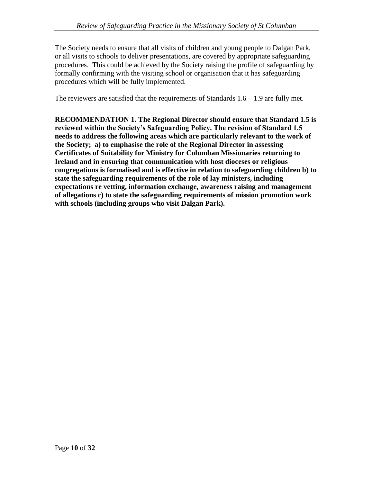The Society needs to ensure that all visits of children and young people to Dalgan Park, or all visits to schools to deliver presentations, are covered by appropriate safeguarding procedures. This could be achieved by the Society raising the profile of safeguarding by formally confirming with the visiting school or organisation that it has safeguarding procedures which will be fully implemented.

The reviewers are satisfied that the requirements of Standards  $1.6 - 1.9$  are fully met.

**RECOMMENDATION 1. The Regional Director should ensure that Standard 1.5 is reviewed within the Society's Safeguarding Policy. The revision of Standard 1.5 needs to address the following areas which are particularly relevant to the work of the Society; a) to emphasise the role of the Regional Director in assessing Certificates of Suitability for Ministry for Columban Missionaries returning to Ireland and in ensuring that communication with host dioceses or religious congregations is formalised and is effective in relation to safeguarding children b) to state the safeguarding requirements of the role of lay ministers, including expectations re vetting, information exchange, awareness raising and management of allegations c) to state the safeguarding requirements of mission promotion work with schools (including groups who visit Dalgan Park).**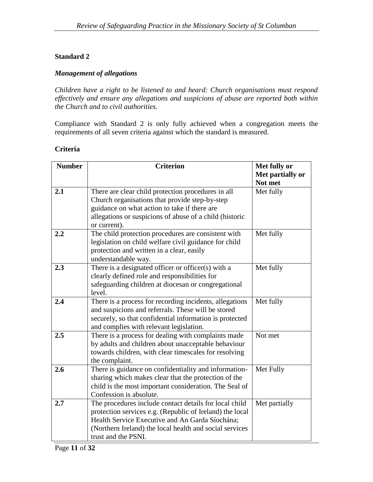#### *Management of allegations*

*Children have a right to be listened to and heard: Church organisations must respond effectively and ensure any allegations and suspicions of abuse are reported both within the Church and to civil authorities.*

Compliance with Standard 2 is only fully achieved when a congregation meets the requirements of all seven criteria against which the standard is measured.

#### **Criteria**

| <b>Number</b> | <b>Criterion</b>                                         | Met fully or     |
|---------------|----------------------------------------------------------|------------------|
|               |                                                          | Met partially or |
|               |                                                          | Not met          |
| 2.1           | There are clear child protection procedures in all       | Met fully        |
|               | Church organisations that provide step-by-step           |                  |
|               | guidance on what action to take if there are             |                  |
|               | allegations or suspicions of abuse of a child (historic  |                  |
|               | or current).                                             |                  |
| 2.2           | The child protection procedures are consistent with      | Met fully        |
|               | legislation on child welfare civil guidance for child    |                  |
|               | protection and written in a clear, easily                |                  |
|               | understandable way.                                      |                  |
| 2.3           | There is a designated officer or officer(s) with a       | Met fully        |
|               | clearly defined role and responsibilities for            |                  |
|               | safeguarding children at diocesan or congregational      |                  |
|               | level.                                                   |                  |
| 2.4           | There is a process for recording incidents, allegations  | Met fully        |
|               | and suspicions and referrals. These will be stored       |                  |
|               | securely, so that confidential information is protected  |                  |
|               | and complies with relevant legislation.                  |                  |
| 2.5           | There is a process for dealing with complaints made      | Not met          |
|               | by adults and children about unacceptable behaviour      |                  |
|               | towards children, with clear timescales for resolving    |                  |
|               | the complaint.                                           |                  |
| 2.6           | There is guidance on confidentiality and information-    | Met Fully        |
|               | sharing which makes clear that the protection of the     |                  |
|               | child is the most important consideration. The Seal of   |                  |
|               | Confession is absolute.                                  |                  |
| 2.7           | The procedures include contact details for local child   | Met partially    |
|               | protection services e.g. (Republic of Ireland) the local |                  |
|               | Health Service Executive and An Garda Síochána;          |                  |
|               | (Northern Ireland) the local health and social services  |                  |
|               | trust and the PSNI.                                      |                  |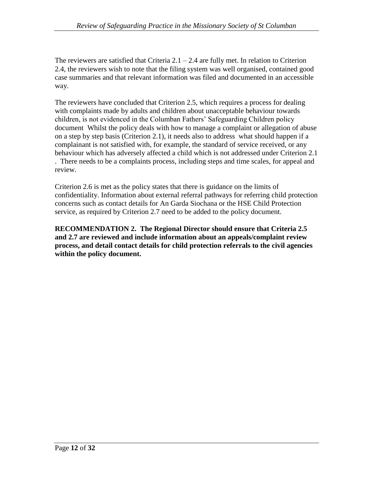The reviewers are satisfied that Criteria  $2.1 - 2.4$  are fully met. In relation to Criterion 2.4, the reviewers wish to note that the filing system was well organised, contained good case summaries and that relevant information was filed and documented in an accessible way.

The reviewers have concluded that Criterion 2.5, which requires a process for dealing with complaints made by adults and children about unacceptable behaviour towards children, is not evidenced in the Columban Fathers' Safeguarding Children policy document Whilst the policy deals with how to manage a complaint or allegation of abuse on a step by step basis (Criterion 2.1), it needs also to address what should happen if a complainant is not satisfied with, for example, the standard of service received, or any behaviour which has adversely affected a child which is not addressed under Criterion 2.1 . There needs to be a complaints process, including steps and time scales, for appeal and review.

Criterion 2.6 is met as the policy states that there is guidance on the limits of confidentiality. Information about external referral pathways for referring child protection concerns such as contact details for An Garda Siochana or the HSE Child Protection service, as required by Criterion 2.7 need to be added to the policy document.

**RECOMMENDATION 2. The Regional Director should ensure that Criteria 2.5 and 2.7 are reviewed and include information about an appeals/complaint review process, and detail contact details for child protection referrals to the civil agencies within the policy document.**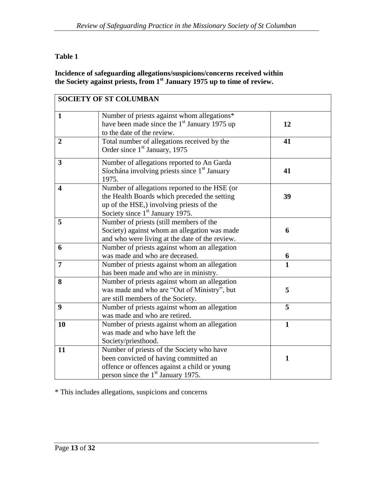## **Table 1**

#### **Incidence of safeguarding allegations/suspicions/concerns received within the Society against priests, from 1st January 1975 up to time of review.**

|                         | <b>SOCIETY OF ST COLUMBAN</b>                                                                                                                                                            |              |
|-------------------------|------------------------------------------------------------------------------------------------------------------------------------------------------------------------------------------|--------------|
| $\mathbf{1}$            | Number of priests against whom allegations*<br>have been made since the 1 <sup>st</sup> January 1975 up<br>to the date of the review.                                                    | 12           |
| $\overline{2}$          | Total number of allegations received by the<br>Order since 1 <sup>st</sup> January, 1975                                                                                                 | 41           |
| $\overline{\mathbf{3}}$ | Number of allegations reported to An Garda<br>Síochána involving priests since 1 <sup>st</sup> January<br>1975.                                                                          | 41           |
| $\overline{\mathbf{4}}$ | Number of allegations reported to the HSE (or<br>the Health Boards which preceded the setting<br>up of the HSE,) involving priests of the<br>Society since 1 <sup>st</sup> January 1975. | 39           |
| 5                       | Number of priests (still members of the<br>Society) against whom an allegation was made<br>and who were living at the date of the review.                                                | 6            |
| 6                       | Number of priests against whom an allegation<br>was made and who are deceased.                                                                                                           | 6            |
| $\overline{7}$          | Number of priests against whom an allegation<br>has been made and who are in ministry.                                                                                                   | $\mathbf{1}$ |
| 8                       | Number of priests against whom an allegation<br>was made and who are "Out of Ministry", but<br>are still members of the Society.                                                         | 5            |
| 9                       | Number of priests against whom an allegation<br>was made and who are retired.                                                                                                            | 5            |
| 10                      | Number of priests against whom an allegation<br>was made and who have left the<br>Society/priesthood.                                                                                    | $\mathbf{1}$ |
| 11                      | Number of priests of the Society who have<br>been convicted of having committed an<br>offence or offences against a child or young<br>person since the 1 <sup>st</sup> January 1975.     | 1            |

\* This includes allegations, suspicions and concerns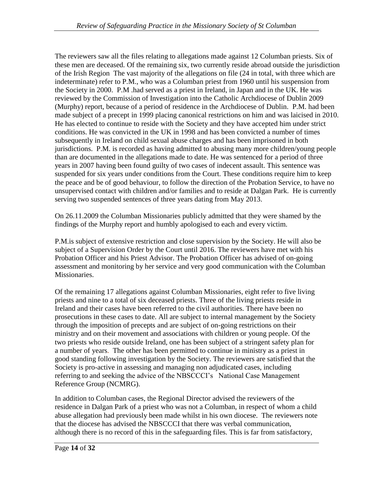The reviewers saw all the files relating to allegations made against 12 Columban priests. Six of these men are deceased. Of the remaining six, two currently reside abroad outside the jurisdiction of the Irish Region The vast majority of the allegations on file (24 in total, with three which are indeterminate) refer to P.M., who was a Columban priest from 1960 until his suspension from the Society in 2000. P.M .had served as a priest in Ireland, in Japan and in the UK. He was reviewed by the Commission of Investigation into the Catholic Archdiocese of Dublin 2009 (Murphy) report, because of a period of residence in the Archdiocese of Dublin. P.M. had been made subject of a precept in 1999 placing canonical restrictions on him and was laicised in 2010. He has elected to continue to reside with the Society and they have accepted him under strict conditions. He was convicted in the UK in 1998 and has been convicted a number of times subsequently in Ireland on child sexual abuse charges and has been imprisoned in both jurisdictions. P.M. is recorded as having admitted to abusing many more children/young people than are documented in the allegations made to date. He was sentenced for a period of three years in 2007 having been found guilty of two cases of indecent assault. This sentence was suspended for six years under conditions from the Court. These conditions require him to keep the peace and be of good behaviour, to follow the direction of the Probation Service, to have no unsupervised contact with children and/or families and to reside at Dalgan Park. He is currently serving two suspended sentences of three years dating from May 2013.

On 26.11.2009 the Columban Missionaries publicly admitted that they were shamed by the findings of the Murphy report and humbly apologised to each and every victim.

P.M.is subject of extensive restriction and close supervision by the Society. He will also be subject of a Supervision Order by the Court until 2016. The reviewers have met with his Probation Officer and his Priest Advisor. The Probation Officer has advised of on-going assessment and monitoring by her service and very good communication with the Columban Missionaries.

Of the remaining 17 allegations against Columban Missionaries, eight refer to five living priests and nine to a total of six deceased priests. Three of the living priests reside in Ireland and their cases have been referred to the civil authorities. There have been no prosecutions in these cases to date. All are subject to internal management by the Society through the imposition of precepts and are subject of on-going restrictions on their ministry and on their movement and associations with children or young people. Of the two priests who reside outside Ireland, one has been subject of a stringent safety plan for a number of years. The other has been permitted to continue in ministry as a priest in good standing following investigation by the Society. The reviewers are satisfied that the Society is pro-active in assessing and managing non adjudicated cases, including referring to and seeking the advice of the NBSCCCI's National Case Management Reference Group (NCMRG).

In addition to Columban cases, the Regional Director advised the reviewers of the residence in Dalgan Park of a priest who was not a Columban, in respect of whom a child abuse allegation had previously been made whilst in his own diocese. The reviewers note that the diocese has advised the NBSCCCI that there was verbal communication, although there is no record of this in the safeguarding files. This is far from satisfactory,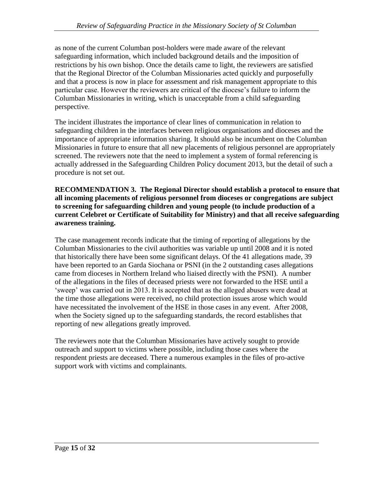as none of the current Columban post-holders were made aware of the relevant safeguarding information, which included background details and the imposition of restrictions by his own bishop. Once the details came to light, the reviewers are satisfied that the Regional Director of the Columban Missionaries acted quickly and purposefully and that a process is now in place for assessment and risk management appropriate to this particular case. However the reviewers are critical of the diocese's failure to inform the Columban Missionaries in writing, which is unacceptable from a child safeguarding perspective.

The incident illustrates the importance of clear lines of communication in relation to safeguarding children in the interfaces between religious organisations and dioceses and the importance of appropriate information sharing. It should also be incumbent on the Columban Missionaries in future to ensure that all new placements of religious personnel are appropriately screened. The reviewers note that the need to implement a system of formal referencing is actually addressed in the Safeguarding Children Policy document 2013, but the detail of such a procedure is not set out.

**RECOMMENDATION 3. The Regional Director should establish a protocol to ensure that all incoming placements of religious personnel from dioceses or congregations are subject to screening for safeguarding children and young people (to include production of a current Celebret or Certificate of Suitability for Ministry) and that all receive safeguarding awareness training.** 

The case management records indicate that the timing of reporting of allegations by the Columban Missionaries to the civil authorities was variable up until 2008 and it is noted that historically there have been some significant delays. Of the 41 allegations made, 39 have been reported to an Garda Siochana or PSNI (in the 2 outstanding cases allegations came from dioceses in Northern Ireland who liaised directly with the PSNI). A number of the allegations in the files of deceased priests were not forwarded to the HSE until a 'sweep' was carried out in 2013. It is accepted that as the alleged abusers were dead at the time those allegations were received, no child protection issues arose which would have necessitated the involvement of the HSE in those cases in any event. After 2008, when the Society signed up to the safeguarding standards, the record establishes that reporting of new allegations greatly improved.

The reviewers note that the Columban Missionaries have actively sought to provide outreach and support to victims where possible, including those cases where the respondent priests are deceased. There a numerous examples in the files of pro-active support work with victims and complainants.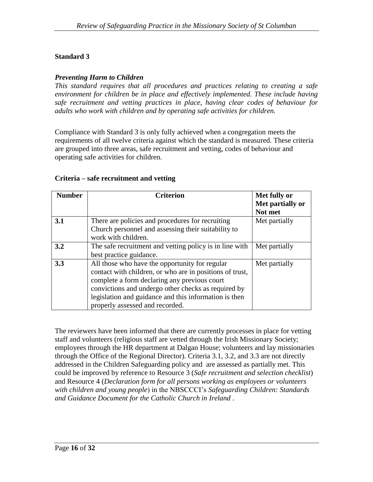#### *Preventing Harm to Children*

*This standard requires that all procedures and practices relating to creating a safe environment for children be in place and effectively implemented. These include having safe recruitment and vetting practices in place, having clear codes of behaviour for adults who work with children and by operating safe activities for children.*

Compliance with Standard 3 is only fully achieved when a congregation meets the requirements of all twelve criteria against which the standard is measured. These criteria are grouped into three areas, safe recruitment and vetting, codes of behaviour and operating safe activities for children.

| <b>Number</b> | <b>Criterion</b>                                                                                                                                                                                                                                                                                              | Met fully or<br>Met partially or<br>Not met |
|---------------|---------------------------------------------------------------------------------------------------------------------------------------------------------------------------------------------------------------------------------------------------------------------------------------------------------------|---------------------------------------------|
| 3.1           | There are policies and procedures for recruiting<br>Church personnel and assessing their suitability to<br>work with children.                                                                                                                                                                                | Met partially                               |
| 3.2           | The safe recruitment and vetting policy is in line with<br>best practice guidance.                                                                                                                                                                                                                            | Met partially                               |
| 3.3           | All those who have the opportunity for regular<br>contact with children, or who are in positions of trust,<br>complete a form declaring any previous court<br>convictions and undergo other checks as required by<br>legislation and guidance and this information is then<br>properly assessed and recorded. | Met partially                               |

#### **Criteria – safe recruitment and vetting**

The reviewers have been informed that there are currently processes in place for vetting staff and volunteers (religious staff are vetted through the Irish Missionary Society; employees through the HR department at Dalgan House; volunteers and lay missionaries through the Office of the Regional Director). Criteria 3.1, 3.2, and 3.3 are not directly addressed in the Children Safeguarding policy and are assessed as partially met. This could be improved by reference to Resource 3 (*Safe recruitment and selection checklist*) and Resource 4 (*Declaration form for all persons working as employees or volunteers with children and young people*) in the NBSCCCI's *Safeguarding Children: Standards and Guidance Document for the Catholic Church in Ireland* .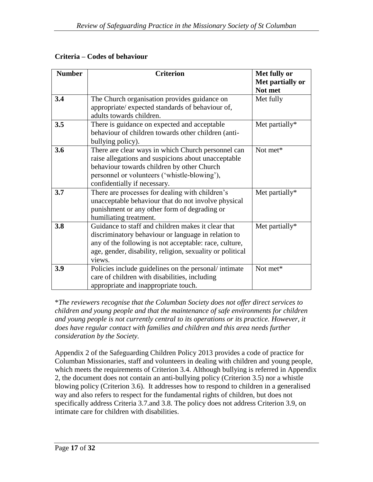| <b>Number</b> | <b>Criterion</b>                                          | Met fully or     |
|---------------|-----------------------------------------------------------|------------------|
|               |                                                           | Met partially or |
|               |                                                           | Not met          |
| 3.4           | The Church organisation provides guidance on              | Met fully        |
|               | appropriate/ expected standards of behaviour of,          |                  |
|               | adults towards children.                                  |                  |
| 3.5           | There is guidance on expected and acceptable              | Met partially*   |
|               | behaviour of children towards other children (anti-       |                  |
|               | bullying policy).                                         |                  |
| 3.6           | There are clear ways in which Church personnel can        | Not met*         |
|               | raise allegations and suspicions about unacceptable       |                  |
|               | behaviour towards children by other Church                |                  |
|               | personnel or volunteers ('whistle-blowing'),              |                  |
|               | confidentially if necessary.                              |                  |
| 3.7           | There are processes for dealing with children's           | Met partially*   |
|               | unacceptable behaviour that do not involve physical       |                  |
|               | punishment or any other form of degrading or              |                  |
|               | humiliating treatment.                                    |                  |
| 3.8           | Guidance to staff and children makes it clear that        | Met partially*   |
|               | discriminatory behaviour or language in relation to       |                  |
|               | any of the following is not acceptable: race, culture,    |                  |
|               | age, gender, disability, religion, sexuality or political |                  |
|               | views.                                                    |                  |
| 3.9           | Policies include guidelines on the personal/intimate      | Not met*         |
|               | care of children with disabilities, including             |                  |
|               | appropriate and inappropriate touch.                      |                  |

\**The reviewers recognise that the Columban Society does not offer direct services to children and young people and that the maintenance of safe environments for children and young people is not currently central to its operations or its practice. However, it*  does have regular contact with families and children and this area needs further *consideration by the Society.*

Appendix 2 of the Safeguarding Children Policy 2013 provides a code of practice for Columban Missionaries, staff and volunteers in dealing with children and young people, which meets the requirements of Criterion 3.4. Although bullying is referred in Appendix 2, the document does not contain an anti-bullying policy (Criterion 3.5) nor a whistle blowing policy (Criterion 3.6). It addresses how to respond to children in a generalised way and also refers to respect for the fundamental rights of children, but does not specifically address Criteria 3.7.and 3.8. The policy does not address Criterion 3.9, on intimate care for children with disabilities.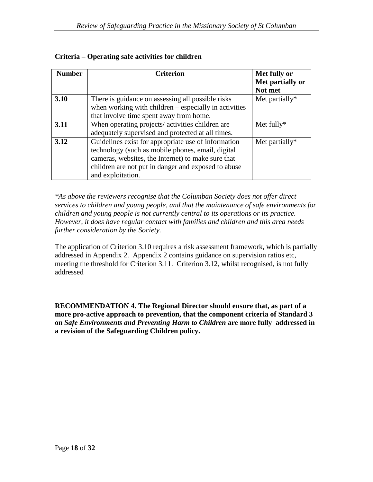| <b>Number</b> | <b>Criterion</b>                                        | Met fully or      |
|---------------|---------------------------------------------------------|-------------------|
|               |                                                         | Met partially or  |
|               |                                                         | Not met           |
| 3.10          | There is guidance on assessing all possible risks       | Met partially $*$ |
|               | when working with children $-$ especially in activities |                   |
|               | that involve time spent away from home.                 |                   |
| 3.11          | When operating projects/activities children are         | Met fully $*$     |
|               | adequately supervised and protected at all times.       |                   |
| 3.12          | Guidelines exist for appropriate use of information     | Met partially $*$ |
|               | technology (such as mobile phones, email, digital       |                   |
|               | cameras, websites, the Internet) to make sure that      |                   |
|               | children are not put in danger and exposed to abuse     |                   |
|               | and exploitation.                                       |                   |

## **Criteria – Operating safe activities for children**

*\*As above the reviewers recognise that the Columban Society does not offer direct services to children and young people, and that the maintenance of safe environments for children and young people is not currently central to its operations or its practice. However, it does have regular contact with families and children and this area needs further consideration by the Society.*

The application of Criterion 3.10 requires a risk assessment framework, which is partially addressed in Appendix 2. Appendix 2 contains guidance on supervision ratios etc, meeting the threshold for Criterion 3.11. Criterion 3.12, whilst recognised, is not fully addressed

**RECOMMENDATION 4. The Regional Director should ensure that, as part of a more pro-active approach to prevention, that the component criteria of Standard 3 on** *Safe Environments and Preventing Harm to Children* **are more fully addressed in a revision of the Safeguarding Children policy.**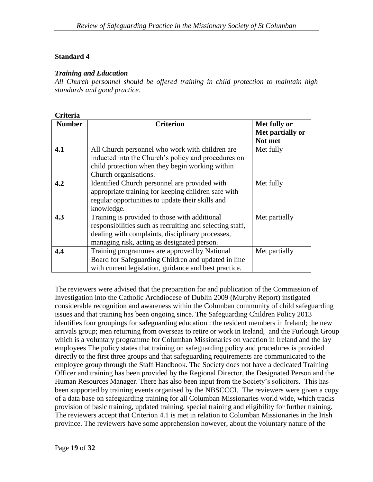#### *Training and Education*

*All Church personnel should be offered training in child protection to maintain high standards and good practice.*

| <b>Criteria</b> |                                                          |                  |
|-----------------|----------------------------------------------------------|------------------|
| <b>Number</b>   | <b>Criterion</b>                                         | Met fully or     |
|                 |                                                          | Met partially or |
|                 |                                                          | Not met          |
| 4.1             | All Church personnel who work with children are          | Met fully        |
|                 | inducted into the Church's policy and procedures on      |                  |
|                 | child protection when they begin working within          |                  |
|                 | Church organisations.                                    |                  |
| 4.2             | Identified Church personnel are provided with            | Met fully        |
|                 | appropriate training for keeping children safe with      |                  |
|                 | regular opportunities to update their skills and         |                  |
|                 | knowledge.                                               |                  |
| 4.3             | Training is provided to those with additional            | Met partially    |
|                 | responsibilities such as recruiting and selecting staff, |                  |
|                 | dealing with complaints, disciplinary processes,         |                  |
|                 | managing risk, acting as designated person.              |                  |
| 4.4             | Training programmes are approved by National             | Met partially    |
|                 | Board for Safeguarding Children and updated in line      |                  |
|                 | with current legislation, guidance and best practice.    |                  |

The reviewers were advised that the preparation for and publication of the Commission of Investigation into the Catholic Archdiocese of Dublin 2009 (Murphy Report) instigated considerable recognition and awareness within the Columban community of child safeguarding issues and that training has been ongoing since. The Safeguarding Children Policy 2013 identifies four groupings for safeguarding education : the resident members in Ireland; the new arrivals group; men returning from overseas to retire or work in Ireland, and the Furlough Group which is a voluntary programme for Columban Missionaries on vacation in Ireland and the lay employees The policy states that training on safeguarding policy and procedures is provided directly to the first three groups and that safeguarding requirements are communicated to the employee group through the Staff Handbook. The Society does not have a dedicated Training Officer and training has been provided by the Regional Director, the Designated Person and the Human Resources Manager. There has also been input from the Society's solicitors. This has been supported by training events organised by the NBSCCCI. The reviewers were given a copy of a data base on safeguarding training for all Columban Missionaries world wide, which tracks provision of basic training, updated training, special training and eligibility for further training. The reviewers accept that Criterion 4.1 is met in relation to Columban Missionaries in the Irish province. The reviewers have some apprehension however, about the voluntary nature of the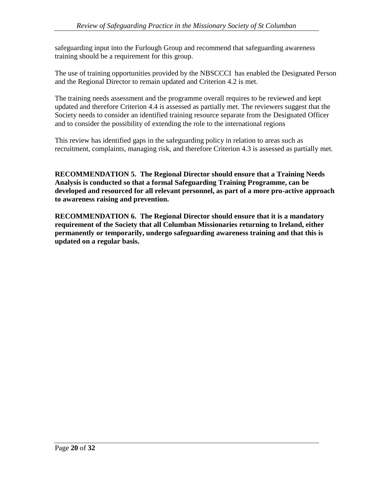safeguarding input into the Furlough Group and recommend that safeguarding awareness training should be a requirement for this group.

The use of training opportunities provided by the NBSCCCI has enabled the Designated Person and the Regional Director to remain updated and Criterion 4.2 is met.

The training needs assessment and the programme overall requires to be reviewed and kept updated and therefore Criterion 4.4 is assessed as partially met. The reviewers suggest that the Society needs to consider an identified training resource separate from the Designated Officer and to consider the possibility of extending the role to the international regions

This review has identified gaps in the safeguarding policy in relation to areas such as recruitment, complaints, managing risk, and therefore Criterion 4.3 is assessed as partially met.

**RECOMMENDATION 5. The Regional Director should ensure that a Training Needs Analysis is conducted so that a formal Safeguarding Training Programme, can be developed and resourced for all relevant personnel, as part of a more pro-active approach to awareness raising and prevention.**

**RECOMMENDATION 6. The Regional Director should ensure that it is a mandatory requirement of the Society that all Columban Missionaries returning to Ireland, either permanently or temporarily, undergo safeguarding awareness training and that this is updated on a regular basis.**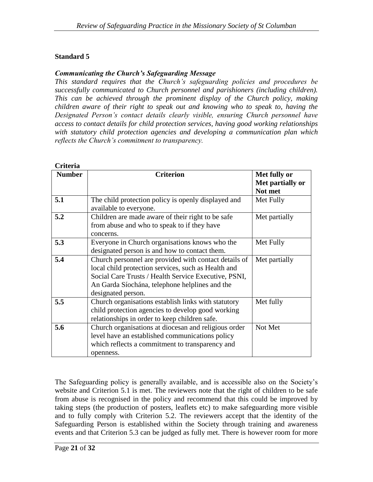#### *Communicating the Church's Safeguarding Message*

*This standard requires that the Church's safeguarding policies and procedures be successfully communicated to Church personnel and parishioners (including children). This can be achieved through the prominent display of the Church policy, making children aware of their right to speak out and knowing who to speak to, having the Designated Person's contact details clearly visible, ensuring Church personnel have access to contact details for child protection services, having good working relationships with statutory child protection agencies and developing a communication plan which reflects the Church's commitment to transparency.*

| Criteria      |                                                                                                                                                                                                                                              |                                             |
|---------------|----------------------------------------------------------------------------------------------------------------------------------------------------------------------------------------------------------------------------------------------|---------------------------------------------|
| <b>Number</b> | <b>Criterion</b>                                                                                                                                                                                                                             | Met fully or<br>Met partially or<br>Not met |
| 5.1           | The child protection policy is openly displayed and<br>available to everyone.                                                                                                                                                                | Met Fully                                   |
| 5.2           | Children are made aware of their right to be safe<br>from abuse and who to speak to if they have<br>concerns.                                                                                                                                | Met partially                               |
| 5.3           | Everyone in Church organisations knows who the<br>designated person is and how to contact them.                                                                                                                                              | Met Fully                                   |
| 5.4           | Church personnel are provided with contact details of<br>local child protection services, such as Health and<br>Social Care Trusts / Health Service Executive, PSNI,<br>An Garda Síochána, telephone helplines and the<br>designated person. | Met partially                               |
| 5.5           | Church organisations establish links with statutory<br>child protection agencies to develop good working<br>relationships in order to keep children safe.                                                                                    | Met fully                                   |
| 5.6           | Church organisations at diocesan and religious order<br>level have an established communications policy<br>which reflects a commitment to transparency and<br>openness.                                                                      | Not Met                                     |

The Safeguarding policy is generally available, and is accessible also on the Society's website and Criterion 5.1 is met. The reviewers note that the right of children to be safe from abuse is recognised in the policy and recommend that this could be improved by taking steps (the production of posters, leaflets etc) to make safeguarding more visible and to fully comply with Criterion 5.2. The reviewers accept that the identity of the Safeguarding Person is established within the Society through training and awareness events and that Criterion 5.3 can be judged as fully met. There is however room for more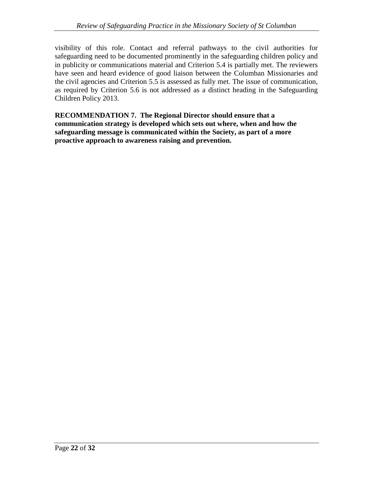visibility of this role. Contact and referral pathways to the civil authorities for safeguarding need to be documented prominently in the safeguarding children policy and in publicity or communications material and Criterion 5.4 is partially met. The reviewers have seen and heard evidence of good liaison between the Columban Missionaries and the civil agencies and Criterion 5.5 is assessed as fully met. The issue of communication, as required by Criterion 5.6 is not addressed as a distinct heading in the Safeguarding Children Policy 2013.

**RECOMMENDATION 7. The Regional Director should ensure that a communication strategy is developed which sets out where, when and how the safeguarding message is communicated within the Society, as part of a more proactive approach to awareness raising and prevention.**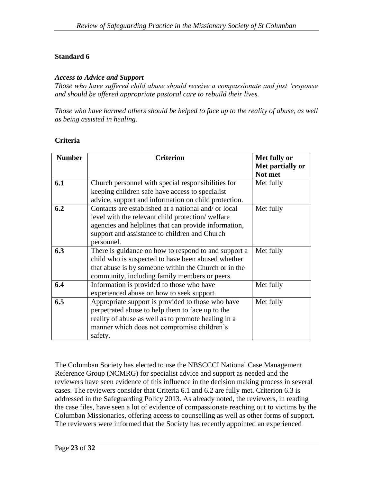#### *Access to Advice and Support*

*Those who have suffered child abuse should receive a compassionate and just 'response and should be offered appropriate pastoral care to rebuild their lives.*

*Those who have harmed others should be helped to face up to the reality of abuse, as well as being assisted in healing.*

## **Criteria**

| <b>Number</b> | <b>Criterion</b>                                     | Met fully or     |
|---------------|------------------------------------------------------|------------------|
|               |                                                      | Met partially or |
|               |                                                      | Not met          |
| 6.1           | Church personnel with special responsibilities for   | Met fully        |
|               | keeping children safe have access to specialist      |                  |
|               | advice, support and information on child protection. |                  |
| 6.2           | Contacts are established at a national and/ or local | Met fully        |
|               | level with the relevant child protection/welfare     |                  |
|               | agencies and helplines that can provide information, |                  |
|               | support and assistance to children and Church        |                  |
|               | personnel.                                           |                  |
| 6.3           | There is guidance on how to respond to and support a | Met fully        |
|               | child who is suspected to have been abused whether   |                  |
|               | that abuse is by someone within the Church or in the |                  |
|               | community, including family members or peers.        |                  |
| 6.4           | Information is provided to those who have            | Met fully        |
|               | experienced abuse on how to seek support.            |                  |
| 6.5           | Appropriate support is provided to those who have    | Met fully        |
|               | perpetrated abuse to help them to face up to the     |                  |
|               | reality of abuse as well as to promote healing in a  |                  |
|               | manner which does not compromise children's          |                  |
|               | safety.                                              |                  |

The Columban Society has elected to use the NBSCCCI National Case Management Reference Group (NCMRG) for specialist advice and support as needed and the reviewers have seen evidence of this influence in the decision making process in several cases. The reviewers consider that Criteria 6.1 and 6.2 are fully met. Criterion 6.3 is addressed in the Safeguarding Policy 2013. As already noted, the reviewers, in reading the case files, have seen a lot of evidence of compassionate reaching out to victims by the Columban Missionaries, offering access to counselling as well as other forms of support. The reviewers were informed that the Society has recently appointed an experienced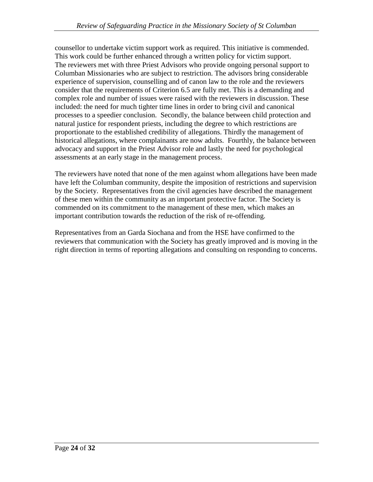counsellor to undertake victim support work as required. This initiative is commended. This work could be further enhanced through a written policy for victim support. The reviewers met with three Priest Advisors who provide ongoing personal support to Columban Missionaries who are subject to restriction. The advisors bring considerable experience of supervision, counselling and of canon law to the role and the reviewers consider that the requirements of Criterion 6.5 are fully met. This is a demanding and complex role and number of issues were raised with the reviewers in discussion. These included: the need for much tighter time lines in order to bring civil and canonical processes to a speedier conclusion. Secondly, the balance between child protection and natural justice for respondent priests, including the degree to which restrictions are proportionate to the established credibility of allegations. Thirdly the management of historical allegations, where complainants are now adults. Fourthly, the balance between advocacy and support in the Priest Advisor role and lastly the need for psychological assessments at an early stage in the management process.

The reviewers have noted that none of the men against whom allegations have been made have left the Columban community, despite the imposition of restrictions and supervision by the Society. Representatives from the civil agencies have described the management of these men within the community as an important protective factor. The Society is commended on its commitment to the management of these men, which makes an important contribution towards the reduction of the risk of re-offending.

Representatives from an Garda Siochana and from the HSE have confirmed to the reviewers that communication with the Society has greatly improved and is moving in the right direction in terms of reporting allegations and consulting on responding to concerns.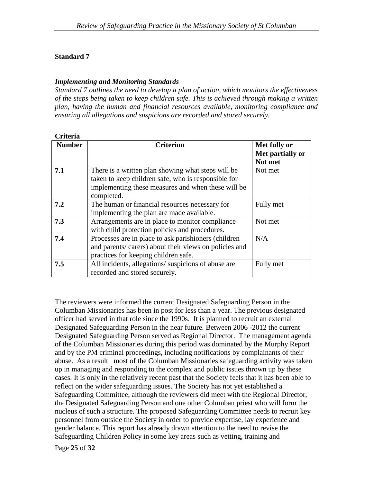#### *Implementing and Monitoring Standards*

*Standard 7 outlines the need to develop a plan of action, which monitors the effectiveness of the steps being taken to keep children safe. This is achieved through making a written plan, having the human and financial resources available, monitoring compliance and ensuring all allegations and suspicions are recorded and stored securely.*

| Criteria      |                                                                                                                                                                               |                                             |
|---------------|-------------------------------------------------------------------------------------------------------------------------------------------------------------------------------|---------------------------------------------|
| <b>Number</b> | <b>Criterion</b>                                                                                                                                                              | Met fully or<br>Met partially or<br>Not met |
| 7.1           | There is a written plan showing what steps will be<br>taken to keep children safe, who is responsible for<br>implementing these measures and when these will be<br>completed. | Not met                                     |
| 7.2           | The human or financial resources necessary for<br>implementing the plan are made available.                                                                                   | Fully met                                   |
| 7.3           | Arrangements are in place to monitor compliance<br>with child protection policies and procedures.                                                                             | Not met                                     |
| 7.4           | Processes are in place to ask parishioners (children)<br>and parents/carers) about their views on policies and<br>practices for keeping children safe.                        | N/A                                         |
| 7.5           | All incidents, allegations/suspicions of abuse are<br>recorded and stored securely.                                                                                           | Fully met                                   |

The reviewers were informed the current Designated Safeguarding Person in the Columban Missionaries has been in post for less than a year. The previous designated officer had served in that role since the 1990s. It is planned to recruit an external Designated Safeguarding Person in the near future. Between 2006 -2012 the current Designated Safeguarding Person served as Regional Director. The management agenda of the Columban Missionaries during this period was dominated by the Murphy Report and by the PM criminal proceedings, including notifications by complainants of their abuse. As a result most of the Columban Missionaries safeguarding activity was taken up in managing and responding to the complex and public issues thrown up by these cases. It is only in the relatively recent past that the Society feels that it has been able to reflect on the wider safeguarding issues. The Society has not yet established a Safeguarding Committee, although the reviewers did meet with the Regional Director, the Designated Safeguarding Person and one other Columban priest who will form the nucleus of such a structure. The proposed Safeguarding Committee needs to recruit key personnel from outside the Society in order to provide expertise, lay experience and gender balance. This report has already drawn attention to the need to revise the Safeguarding Children Policy in some key areas such as vetting, training and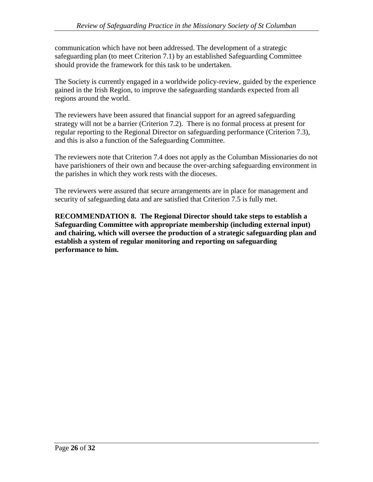communication which have not been addressed. The development of a strategic safeguarding plan (to meet Criterion 7.1) by an established Safeguarding Committee should provide the framework for this task to be undertaken.

The Society is currently engaged in a worldwide policy-review, guided by the experience gained in the Irish Region, to improve the safeguarding standards expected from all regions around the world.

The reviewers have been assured that financial support for an agreed safeguarding strategy will not be a barrier (Criterion 7.2). There is no formal process at present for regular reporting to the Regional Director on safeguarding performance (Criterion 7.3), and this is also a function of the Safeguarding Committee.

The reviewers note that Criterion 7.4 does not apply as the Columban Missionaries do not have parishioners of their own and because the over-arching safeguarding environment in the parishes in which they work rests with the dioceses.

The reviewers were assured that secure arrangements are in place for management and security of safeguarding data and are satisfied that Criterion 7.5 is fully met.

**RECOMMENDATION 8. The Regional Director should take steps to establish a Safeguarding Committee with appropriate membership (including external input) and chairing, which will oversee the production of a strategic safeguarding plan and establish a system of regular monitoring and reporting on safeguarding performance to him.**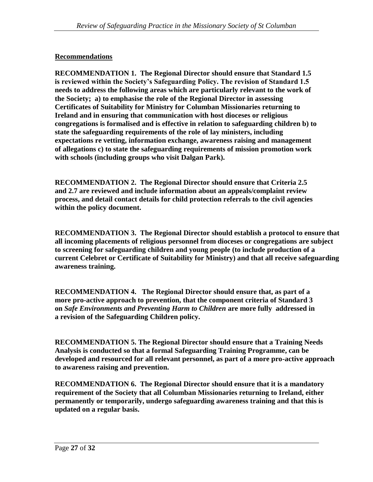#### **Recommendations**

**RECOMMENDATION 1. The Regional Director should ensure that Standard 1.5 is reviewed within the Society's Safeguarding Policy. The revision of Standard 1.5 needs to address the following areas which are particularly relevant to the work of the Society; a) to emphasise the role of the Regional Director in assessing Certificates of Suitability for Ministry for Columban Missionaries returning to Ireland and in ensuring that communication with host dioceses or religious congregations is formalised and is effective in relation to safeguarding children b) to state the safeguarding requirements of the role of lay ministers, including expectations re vetting, information exchange, awareness raising and management of allegations c) to state the safeguarding requirements of mission promotion work with schools (including groups who visit Dalgan Park).** 

**RECOMMENDATION 2. The Regional Director should ensure that Criteria 2.5 and 2.7 are reviewed and include information about an appeals/complaint review process, and detail contact details for child protection referrals to the civil agencies within the policy document.**

**RECOMMENDATION 3. The Regional Director should establish a protocol to ensure that all incoming placements of religious personnel from dioceses or congregations are subject to screening for safeguarding children and young people (to include production of a current Celebret or Certificate of Suitability for Ministry) and that all receive safeguarding awareness training.** 

**RECOMMENDATION 4. The Regional Director should ensure that, as part of a more pro-active approach to prevention, that the component criteria of Standard 3 on** *Safe Environments and Preventing Harm to Children* **are more fully addressed in a revision of the Safeguarding Children policy.**

**RECOMMENDATION 5. The Regional Director should ensure that a Training Needs Analysis is conducted so that a formal Safeguarding Training Programme, can be developed and resourced for all relevant personnel, as part of a more pro-active approach to awareness raising and prevention.**

**RECOMMENDATION 6. The Regional Director should ensure that it is a mandatory requirement of the Society that all Columban Missionaries returning to Ireland, either permanently or temporarily, undergo safeguarding awareness training and that this is updated on a regular basis.**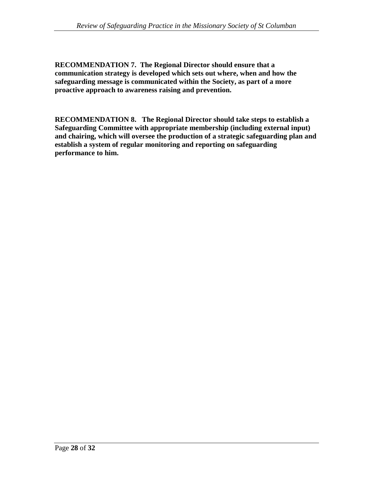**RECOMMENDATION 7. The Regional Director should ensure that a communication strategy is developed which sets out where, when and how the safeguarding message is communicated within the Society, as part of a more proactive approach to awareness raising and prevention.**

**RECOMMENDATION 8. The Regional Director should take steps to establish a Safeguarding Committee with appropriate membership (including external input) and chairing, which will oversee the production of a strategic safeguarding plan and establish a system of regular monitoring and reporting on safeguarding performance to him.**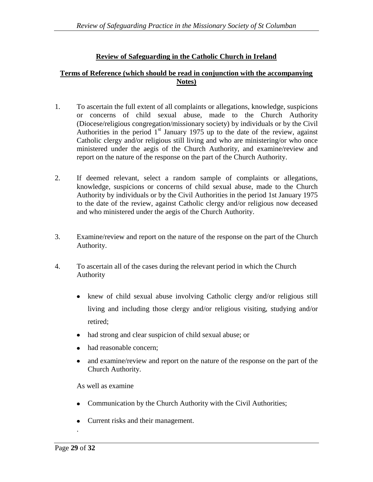#### **Review of Safeguarding in the Catholic Church in Ireland**

#### **Terms of Reference (which should be read in conjunction with the accompanying Notes)**

- 1. To ascertain the full extent of all complaints or allegations, knowledge, suspicions or concerns of child sexual abuse, made to the Church Authority (Diocese/religious congregation/missionary society) by individuals or by the Civil Authorities in the period  $1<sup>st</sup>$  January 1975 up to the date of the review, against Catholic clergy and/or religious still living and who are ministering/or who once ministered under the aegis of the Church Authority, and examine/review and report on the nature of the response on the part of the Church Authority.
- 2. If deemed relevant, select a random sample of complaints or allegations, knowledge, suspicions or concerns of child sexual abuse, made to the Church Authority by individuals or by the Civil Authorities in the period 1st January 1975 to the date of the review, against Catholic clergy and/or religious now deceased and who ministered under the aegis of the Church Authority.
- 3. Examine/review and report on the nature of the response on the part of the Church Authority.
- 4. To ascertain all of the cases during the relevant period in which the Church Authority
	- knew of child sexual abuse involving Catholic clergy and/or religious still living and including those clergy and/or religious visiting, studying and/or retired;
	- had strong and clear suspicion of child sexual abuse; or
	- had reasonable concern;
	- $\bullet$ and examine/review and report on the nature of the response on the part of the Church Authority.

As well as examine

- Communication by the Church Authority with the Civil Authorities;  $\bullet$
- Current risks and their management.  $\bullet$

.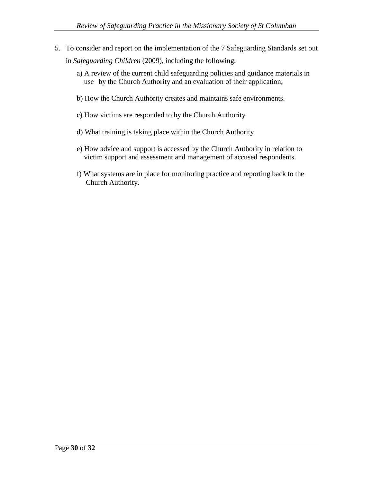- 5. To consider and report on the implementation of the 7 Safeguarding Standards set out in *Safeguarding Children* (2009), including the following:
	- a) A review of the current child safeguarding policies and guidance materials in use by the Church Authority and an evaluation of their application;
	- b) How the Church Authority creates and maintains safe environments.
	- c) How victims are responded to by the Church Authority
	- d) What training is taking place within the Church Authority
	- e) How advice and support is accessed by the Church Authority in relation to victim support and assessment and management of accused respondents.
	- f) What systems are in place for monitoring practice and reporting back to the Church Authority.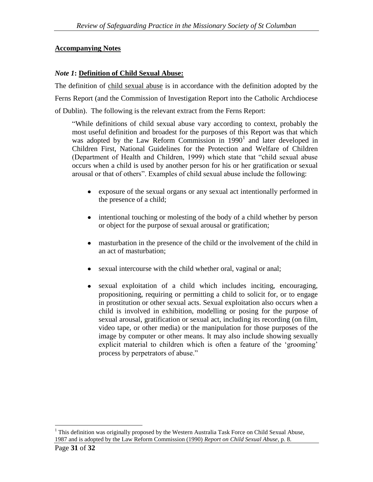#### **Accompanying Notes**

#### *Note 1***: Definition of Child Sexual Abuse:**

The definition of child sexual abuse is in accordance with the definition adopted by the Ferns Report (and the Commission of Investigation Report into the Catholic Archdiocese of Dublin). The following is the relevant extract from the Ferns Report:

"While definitions of child sexual abuse vary according to context, probably the most useful definition and broadest for the purposes of this Report was that which was adopted by the Law Reform Commission in  $1990<sup>1</sup>$  and later developed in Children First, National Guidelines for the Protection and Welfare of Children (Department of Health and Children, 1999) which state that "child sexual abuse occurs when a child is used by another person for his or her gratification or sexual arousal or that of others". Examples of child sexual abuse include the following:

- exposure of the sexual organs or any sexual act intentionally performed in the presence of a child;
- $\bullet$ intentional touching or molesting of the body of a child whether by person or object for the purpose of sexual arousal or gratification;
- masturbation in the presence of the child or the involvement of the child in  $\bullet$ an act of masturbation;
- sexual intercourse with the child whether oral, vaginal or anal;
- sexual exploitation of a child which includes inciting, encouraging,  $\bullet$ propositioning, requiring or permitting a child to solicit for, or to engage in prostitution or other sexual acts. Sexual exploitation also occurs when a child is involved in exhibition, modelling or posing for the purpose of sexual arousal, gratification or sexual act, including its recording (on film, video tape, or other media) or the manipulation for those purposes of the image by computer or other means. It may also include showing sexually explicit material to children which is often a feature of the 'grooming' process by perpetrators of abuse."

 $\overline{a}$ 

<sup>1</sup> This definition was originally proposed by the Western Australia Task Force on Child Sexual Abuse, 1987 and is adopted by the Law Reform Commission (1990) *Report on Child Sexual Abuse*, p. 8.